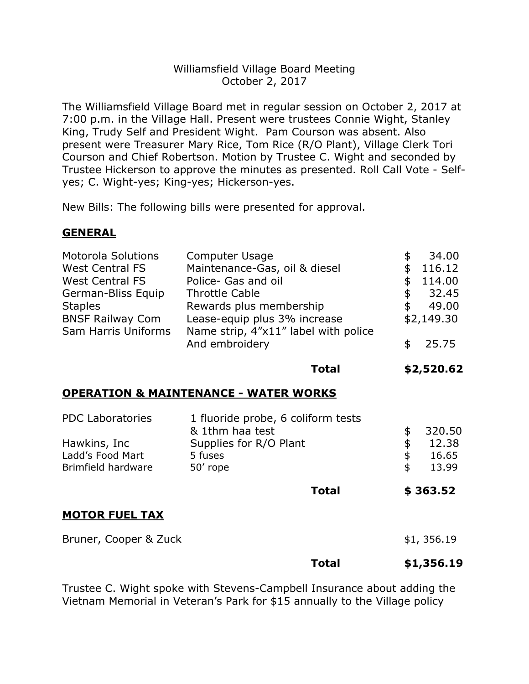## Williamsfield Village Board Meeting October 2, 2017

The Williamsfield Village Board met in regular session on October 2, 2017 at 7:00 p.m. in the Village Hall. Present were trustees Connie Wight, Stanley King, Trudy Self and President Wight. Pam Courson was absent. Also present were Treasurer Mary Rice, Tom Rice (R/O Plant), Village Clerk Tori Courson and Chief Robertson. Motion by Trustee C. Wight and seconded by Trustee Hickerson to approve the minutes as presented. Roll Call Vote - Selfyes; C. Wight-yes; King-yes; Hickerson-yes.

New Bills: The following bills were presented for approval.

# **GENERAL**

| And embroidery<br>25.75 | <b>Motorola Solutions</b><br><b>West Central FS</b><br><b>West Central FS</b><br>German-Bliss Equip<br><b>Staples</b><br><b>BNSF Railway Com</b><br>Sam Harris Uniforms | Computer Usage<br>Maintenance-Gas, oil & diesel<br>Police- Gas and oil<br><b>Throttle Cable</b><br>Rewards plus membership<br>Lease-equip plus 3% increase<br>Name strip, 4"x11" label with police | S<br>S<br>S<br>\$<br>\$ | 34.00<br>116.12<br>114.00<br>32.45<br>49.00<br>\$2,149.30 |
|-------------------------|-------------------------------------------------------------------------------------------------------------------------------------------------------------------------|----------------------------------------------------------------------------------------------------------------------------------------------------------------------------------------------------|-------------------------|-----------------------------------------------------------|
|-------------------------|-------------------------------------------------------------------------------------------------------------------------------------------------------------------------|----------------------------------------------------------------------------------------------------------------------------------------------------------------------------------------------------|-------------------------|-----------------------------------------------------------|

**Total \$2,520.62**

# **OPERATION & MAINTENANCE - WATER WORKS**

|                         | <b>Total</b>                       | \$363.52    |
|-------------------------|------------------------------------|-------------|
| Brimfield hardware      | 50' rope                           | \$<br>13.99 |
| Ladd's Food Mart        | 5 fuses                            | \$<br>16.65 |
| Hawkins, Inc            | Supplies for R/O Plant             | \$<br>12.38 |
|                         | & 1thm haa test                    | 320.50      |
| <b>PDC Laboratories</b> | 1 fluoride probe, 6 coliform tests |             |

# **MOTOR FUEL TAX**

Bruner, Cooper & Zuck  $$1, 356.19$ 

# **Total \$1,356.19**

Trustee C. Wight spoke with Stevens-Campbell Insurance about adding the Vietnam Memorial in Veteran's Park for \$15 annually to the Village policy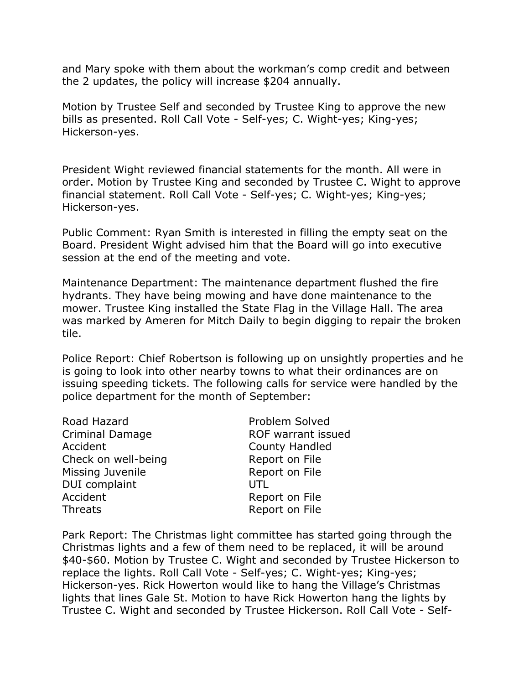and Mary spoke with them about the workman's comp credit and between the 2 updates, the policy will increase \$204 annually.

Motion by Trustee Self and seconded by Trustee King to approve the new bills as presented. Roll Call Vote - Self-yes; C. Wight-yes; King-yes; Hickerson-yes.

President Wight reviewed financial statements for the month. All were in order. Motion by Trustee King and seconded by Trustee C. Wight to approve financial statement. Roll Call Vote - Self-yes; C. Wight-yes; King-yes; Hickerson-yes.

Public Comment: Ryan Smith is interested in filling the empty seat on the Board. President Wight advised him that the Board will go into executive session at the end of the meeting and vote.

Maintenance Department: The maintenance department flushed the fire hydrants. They have being mowing and have done maintenance to the mower. Trustee King installed the State Flag in the Village Hall. The area was marked by Ameren for Mitch Daily to begin digging to repair the broken tile.

Police Report: Chief Robertson is following up on unsightly properties and he is going to look into other nearby towns to what their ordinances are on issuing speeding tickets. The following calls for service were handled by the police department for the month of September:

| Road Hazard            | Problem Solved     |
|------------------------|--------------------|
| <b>Criminal Damage</b> | ROF warrant issued |
| Accident               | County Handled     |
| Check on well-being    | Report on File     |
| Missing Juvenile       | Report on File     |
| DUI complaint          | UTL                |
| Accident               | Report on File     |
| <b>Threats</b>         | Report on File     |
|                        |                    |

Park Report: The Christmas light committee has started going through the Christmas lights and a few of them need to be replaced, it will be around \$40-\$60. Motion by Trustee C. Wight and seconded by Trustee Hickerson to replace the lights. Roll Call Vote - Self-yes; C. Wight-yes; King-yes; Hickerson-yes. Rick Howerton would like to hang the Village's Christmas lights that lines Gale St. Motion to have Rick Howerton hang the lights by Trustee C. Wight and seconded by Trustee Hickerson. Roll Call Vote - Self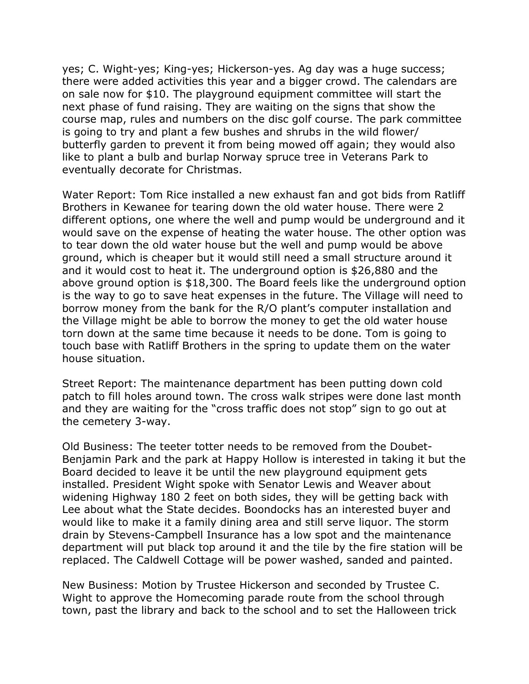yes; C. Wight-yes; King-yes; Hickerson-yes. Ag day was a huge success; there were added activities this year and a bigger crowd. The calendars are on sale now for \$10. The playground equipment committee will start the next phase of fund raising. They are waiting on the signs that show the course map, rules and numbers on the disc golf course. The park committee is going to try and plant a few bushes and shrubs in the wild flower/ butterfly garden to prevent it from being mowed off again; they would also like to plant a bulb and burlap Norway spruce tree in Veterans Park to eventually decorate for Christmas.

Water Report: Tom Rice installed a new exhaust fan and got bids from Ratliff Brothers in Kewanee for tearing down the old water house. There were 2 different options, one where the well and pump would be underground and it would save on the expense of heating the water house. The other option was to tear down the old water house but the well and pump would be above ground, which is cheaper but it would still need a small structure around it and it would cost to heat it. The underground option is \$26,880 and the above ground option is \$18,300. The Board feels like the underground option is the way to go to save heat expenses in the future. The Village will need to borrow money from the bank for the R/O plant's computer installation and the Village might be able to borrow the money to get the old water house torn down at the same time because it needs to be done. Tom is going to touch base with Ratliff Brothers in the spring to update them on the water house situation.

Street Report: The maintenance department has been putting down cold patch to fill holes around town. The cross walk stripes were done last month and they are waiting for the "cross traffic does not stop" sign to go out at the cemetery 3-way.

Old Business: The teeter totter needs to be removed from the Doubet-Benjamin Park and the park at Happy Hollow is interested in taking it but the Board decided to leave it be until the new playground equipment gets installed. President Wight spoke with Senator Lewis and Weaver about widening Highway 180 2 feet on both sides, they will be getting back with Lee about what the State decides. Boondocks has an interested buyer and would like to make it a family dining area and still serve liquor. The storm drain by Stevens-Campbell Insurance has a low spot and the maintenance department will put black top around it and the tile by the fire station will be replaced. The Caldwell Cottage will be power washed, sanded and painted.

New Business: Motion by Trustee Hickerson and seconded by Trustee C. Wight to approve the Homecoming parade route from the school through town, past the library and back to the school and to set the Halloween trick